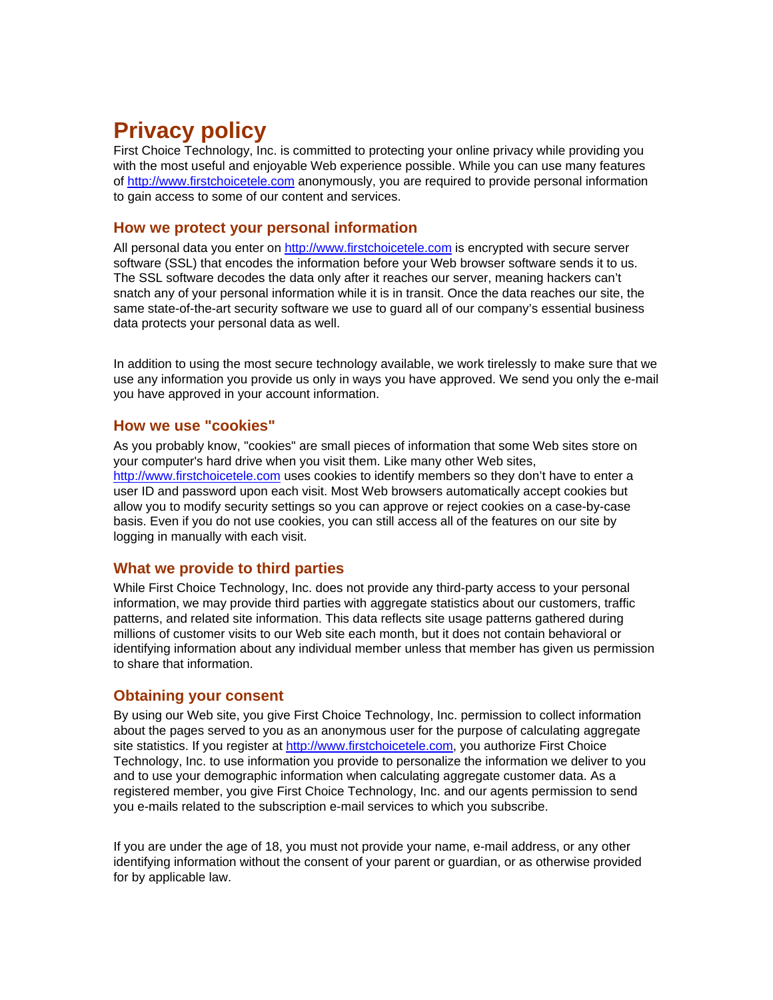# **Privacy policy**

First Choice Technology, Inc. is committed to protecting your online privacy while providing you with the most useful and enjoyable Web experience possible. While you can use many features of http://www.firstchoicetele.com anonymously, you are required to provide personal information to gain access to some of our content and services.

#### **How we protect your personal information**

All personal data you enter on http://www.firstchoicetele.com is encrypted with secure server software (SSL) that encodes the information before your Web browser software sends it to us. The SSL software decodes the data only after it reaches our server, meaning hackers can't snatch any of your personal information while it is in transit. Once the data reaches our site, the same state-of-the-art security software we use to guard all of our company's essential business data protects your personal data as well.

In addition to using the most secure technology available, we work tirelessly to make sure that we use any information you provide us only in ways you have approved. We send you only the e-mail you have approved in your account information.

#### **How we use "cookies"**

As you probably know, "cookies" are small pieces of information that some Web sites store on your computer's hard drive when you visit them. Like many other Web sites, http://www.firstchoicetele.com uses cookies to identify members so they don't have to enter a user ID and password upon each visit. Most Web browsers automatically accept cookies but allow you to modify security settings so you can approve or reject cookies on a case-by-case basis. Even if you do not use cookies, you can still access all of the features on our site by logging in manually with each visit.

## **What we provide to third parties**

While First Choice Technology, Inc. does not provide any third-party access to your personal information, we may provide third parties with aggregate statistics about our customers, traffic patterns, and related site information. This data reflects site usage patterns gathered during millions of customer visits to our Web site each month, but it does not contain behavioral or identifying information about any individual member unless that member has given us permission to share that information.

## **Obtaining your consent**

By using our Web site, you give First Choice Technology, Inc. permission to collect information about the pages served to you as an anonymous user for the purpose of calculating aggregate site statistics. If you register at http://www.firstchoicetele.com, you authorize First Choice Technology, Inc. to use information you provide to personalize the information we deliver to you and to use your demographic information when calculating aggregate customer data. As a registered member, you give First Choice Technology, Inc. and our agents permission to send you e-mails related to the subscription e-mail services to which you subscribe.

If you are under the age of 18, you must not provide your name, e-mail address, or any other identifying information without the consent of your parent or guardian, or as otherwise provided for by applicable law.